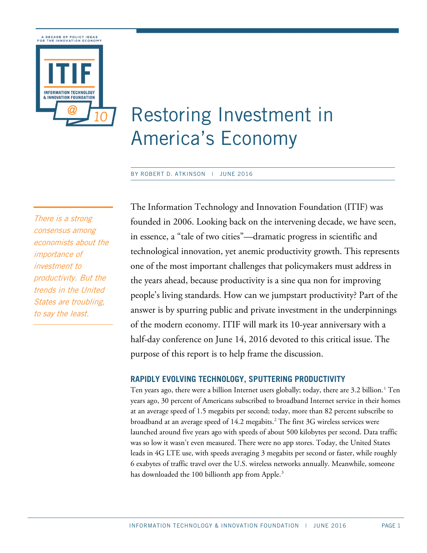

# Restoring Investment in America's Economy

BY ROBERT D. ATKINSON | JUNE 2016

There is a strong consensus among economists about the importance of investment to productivity. But the trends in the United States are troubling, to say the least.

The Information Technology and Innovation Foundation (ITIF) was founded in 2006. Looking back on the intervening decade, we have seen, in essence, a "tale of two cities"—dramatic progress in scientific and technological innovation, yet anemic productivity growth. This represents one of the most important challenges that policymakers must address in the years ahead, because productivity is a sine qua non for improving people's living standards. How can we jumpstart productivity? Part of the answer is by spurring public and private investment in the underpinnings of the modern economy. ITIF will mark its 10-year anniversary with a half-day conference on June 14, 2016 devoted to this critical issue. The purpose of this report is to help frame the discussion.

#### **RAPIDLY EVOLVING TECHNOLOGY, SPUTTERING PRODUCTIVITY**

Ten years ago, there were a billion Internet users globally; today, there are 3.2 billion. [1](#page-13-0) Ten years ago, 30 percent of Americans subscribed to broadband Internet service in their homes at an average speed of 1.5 megabits per second; today, more than 82 percent subscribe to broadband at an average speed of 14.2 megabits. [2](#page-13-1) The first 3G wireless services were launched around five years ago with speeds of about 500 kilobytes per second. Data traffic was so low it wasn't even measured. There were no app stores. Today, the United States leads in 4G LTE use, with speeds averaging 3 megabits per second or faster, while roughly 6 exabytes of traffic travel over the U.S. wireless networks annually. Meanwhile, someone has downloaded the  $100$  billionth app from Apple. $^3$  $^3$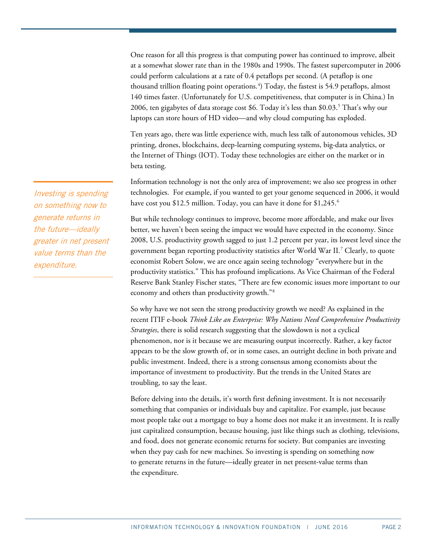One reason for all this progress is that computing power has continued to improve, albeit at a somewhat slower rate than in the 1980s and 1990s. The fastest supercomputer in 2006 could perform calculations at a rate of 0.4 petaflops per second. (A petaflop is one thousand trillion floating point operations. [4](#page-13-3) ) Today, the fastest is 54.9 petaflops, almost 140 times faster. (Unfortunately for U.S. competitiveness, that computer is in China.) In 2006, ten gigabytes of data storage cost \$6. Today it's less than \$0.03. [5](#page-13-4) That's why our laptops can store hours of HD video—and why cloud computing has exploded.

Ten years ago, there was little experience with, much less talk of autonomous vehicles, 3D printing, drones, blockchains, deep-learning computing systems, big-data analytics, or the Internet of Things (IOT). Today these technologies are either on the market or in beta testing.

Information technology is not the only area of improvement; we also see progress in other technologies. For example, if you wanted to get your genome sequenced in 2006, it would have cost you \$12.5 million. Today, you can have it done for \$1,245. [6](#page-13-5)

But while technology continues to improve, become more affordable, and make our lives better, we haven't been seeing the impact we would have expected in the economy. Since 2008, U.S. productivity growth sagged to just 1.2 percent per year, its lowest level since the government began reporting productivity statistics after World War II.[7](#page-13-6) Clearly, to quote economist Robert Solow, we are once again seeing technology "everywhere but in the productivity statistics." This has profound implications. As Vice Chairman of the Federal Reserve Bank Stanley Fischer states, "There are few economic issues more important to our economy and others than productivity growth."[8](#page-13-7)

So why have we not seen the strong productivity growth we need? As explained in the recent ITIF e-book *Think Like an Enterprise: Why Nations Need Comprehensive Productivity Strategies*, there is solid research suggesting that the slowdown is not a cyclical phenomenon, nor is it because we are measuring output incorrectly. Rather, a key factor appears to be the slow growth of, or in some cases, an outright decline in both private and public investment. Indeed, there is a strong consensus among economists about the importance of investment to productivity. But the trends in the United States are troubling, to say the least.

Before delving into the details, it's worth first defining investment. It is not necessarily something that companies or individuals buy and capitalize. For example, just because most people take out a mortgage to buy a home does not make it an investment. It is really just capitalized consumption, because housing, just like things such as clothing, televisions, and food, does not generate economic returns for society. But companies are investing when they pay cash for new machines. So investing is spending on something now to generate returns in the future—ideally greater in net present-value terms than the expenditure.

Investing is spending on something now to generate returns in the future—ideally greater in net present value terms than the expenditure.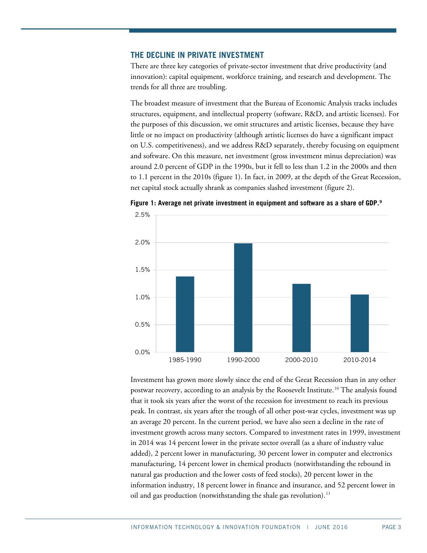### **THE DECLINE IN PRIVATE INVESTMENT**

There are three key categories of private-sector investment that drive productivity (and innovation): capital equipment, workforce training, and research and development. The trends for all three are troubling.

The broadest measure of investment that the Bureau of Economic Analysis tracks includes structures, equipment, and intellectual property (software, R&D, and artistic licenses). For the purposes of this discussion, we omit structures and artistic licenses, because they have little or no impact on productivity (although artistic licenses do have a significant impact on U.S. competitiveness), and we address R&D separately, thereby focusing on equipment and software. On this measure, net investment (gross investment minus depreciation) was around 2.0 percent of GDP in the 1990s, but it fell to less than 1.2 in the 2000s and then to 1.1 percent in the 2010s [\(figure 1\)](#page-2-0). In fact, in 2009, at the depth of the Great Recession, net capital stock actually shrank as companies slashed investment [\(figure 2\)](#page-3-0).



<span id="page-2-0"></span>**Figure 1: Average net private investment in equipment and software as a share of GDP. [9](#page-13-8)**

Investment has grown more slowly since the end of the Great Recession than in any other postwar recovery, according to an analysis by the Roosevelt Institute.<sup>[10](#page-13-9)</sup> The analysis found that it took six years after the worst of the recession for investment to reach its previous peak. In contrast, six years after the trough of all other post-war cycles, investment was up an average 20 percent. In the current period, we have also seen a decline in the rate of investment growth across many sectors. Compared to investment rates in 1999, investment in 2014 was 14 percent lower in the private sector overall (as a share of industry value added), 2 percent lower in manufacturing, 30 percent lower in computer and electronics manufacturing, 14 percent lower in chemical products (notwithstanding the rebound in natural gas production and the lower costs of feed stocks), 20 percent lower in the information industry, 18 percent lower in finance and insurance, and 52 percent lower in oil and gas production (notwithstanding the shale gas revolution).<sup>[11](#page-13-10)</sup>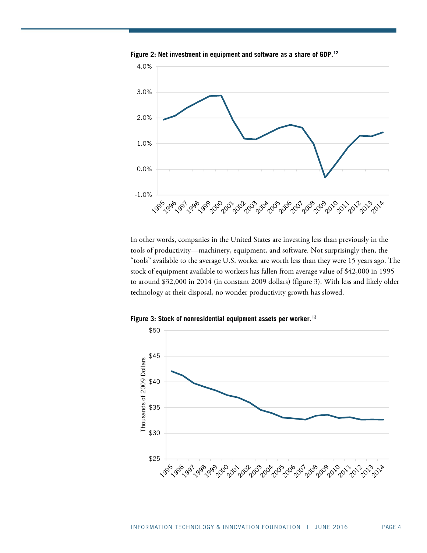

<span id="page-3-0"></span>**Figure 2: Net investment in equipment and software as a share of GDP. [12](#page-13-11)**

In other words, companies in the United States are investing less than previously in the tools of productivity—machinery, equipment, and software. Not surprisingly then, the "tools" available to the average U.S. worker are worth less than they were 15 years ago. The stock of equipment available to workers has fallen from average value of \$42,000 in 1995 to around \$32,000 in 2014 (in constant 2009 dollars) [\(figure 3\)](#page-3-1). With less and likely older technology at their disposal, no wonder productivity growth has slowed.

<span id="page-3-1"></span>

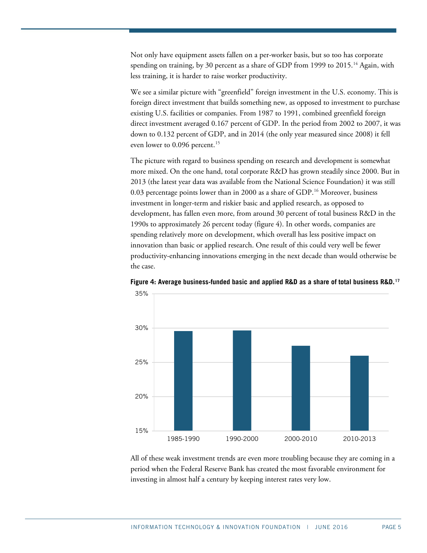Not only have equipment assets fallen on a per-worker basis, but so too has corporate spending on training, by 30 percent as a share of GDP from 1999 to 2015. $^\mathrm{14}$  $^\mathrm{14}$  $^\mathrm{14}$  Again, with less training, it is harder to raise worker productivity.

We see a similar picture with "greenfield" foreign investment in the U.S. economy. This is foreign direct investment that builds something new, as opposed to investment to purchase existing U.S. facilities or companies. From 1987 to 1991, combined greenfield foreign direct investment averaged 0.167 percent of GDP. In the period from 2002 to 2007, it was down to 0.132 percent of GDP, and in 2014 (the only year measured since 2008) it fell even lower to 0.096 percent.<sup>[15](#page-13-14)</sup>

The picture with regard to business spending on research and development is somewhat more mixed. On the one hand, total corporate R&D has grown steadily since 2000. But in 2013 (the latest year data was available from the National Science Foundation) it was still 0.03 percentage points lower than in 2000 as a share of GDP.<sup>[16](#page-14-0)</sup> Moreover, business investment in longer-term and riskier basic and applied research, as opposed to development, has fallen even more, from around 30 percent of total business R&D in the 1990s to approximately 26 percent today [\(figure 4\)](#page-4-0). In other words, companies are spending relatively more on development, which overall has less positive impact on innovation than basic or applied research. One result of this could very well be fewer productivity-enhancing innovations emerging in the next decade than would otherwise be the case.



<span id="page-4-0"></span>**Figure 4: Average business-funded basic and applied R&D as a share of total business R&D. [17](#page-14-1)**

All of these weak investment trends are even more troubling because they are coming in a period when the Federal Reserve Bank has created the most favorable environment for investing in almost half a century by keeping interest rates very low.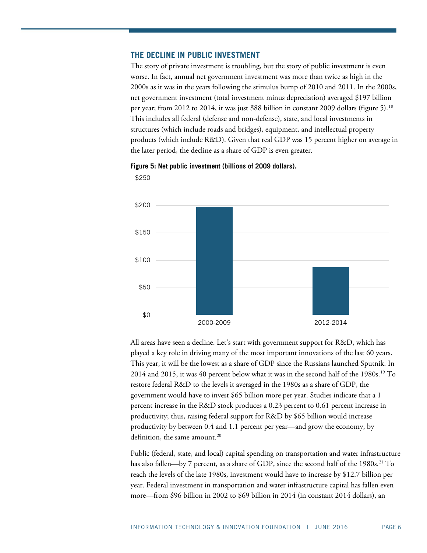## **THE DECLINE IN PUBLIC INVESTMENT**

The story of private investment is troubling, but the story of public investment is even worse. In fact, annual net government investment was more than twice as high in the 2000s as it was in the years following the stimulus bump of 2010 and 2011. In the 2000s, net government investment (total investment minus depreciation) averaged \$197 billion per year; from 2012 to 2014, it was just \$88 billion in constant 2009 dollars [\(figure 5\)](#page-5-0). [18](#page-14-2) This includes all federal (defense and non-defense), state, and local investments in structures (which include roads and bridges), equipment, and intellectual property products (which include R&D). Given that real GDP was 15 percent higher on average in the later period, the decline as a share of GDP is even greater.



<span id="page-5-0"></span>

All areas have seen a decline. Let's start with government support for R&D, which has played a key role in driving many of the most important innovations of the last 60 years. This year, it will be the lowest as a share of GDP since the Russians launched Sputnik. In 2014 and 2015, it was 40 percent below what it was in the second half of the  $1980s.<sup>19</sup>$  $1980s.<sup>19</sup>$  To restore federal R&D to the levels it averaged in the 1980s as a share of GDP, the government would have to invest \$65 billion more per year. Studies indicate that a 1 percent increase in the R&D stock produces a 0.23 percent to 0.61 percent increase in productivity; thus, raising federal support for R&D by \$65 billion would increase productivity by between 0.4 and 1.1 percent per year—and grow the economy, by definition, the same amount. [20](#page-14-4)

Public (federal, state, and local) capital spending on transportation and water infrastructure has also fallen—by 7 percent, as a share of GDP, since the second half of the 1980s.<sup>[21](#page-14-5)</sup> To reach the levels of the late 1980s, investment would have to increase by \$12.7 billion per year. Federal investment in transportation and water infrastructure capital has fallen even more—from \$96 billion in 2002 to \$69 billion in 2014 (in constant 2014 dollars), an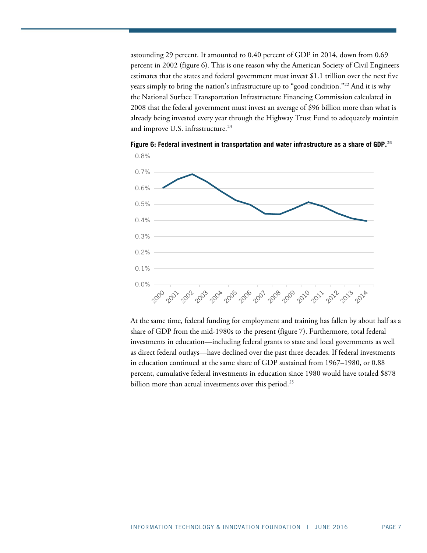astounding 29 percent. It amounted to 0.40 percent of GDP in 2014, down from 0.69 percent in 2002 [\(figure 6\)](#page-6-0). This is one reason why the American Society of Civil Engineers estimates that the states and federal government must invest \$1.1 trillion over the next five years simply to bring the nation's infrastructure up to "good condition."[22](#page-14-6) And it is why the National Surface Transportation Infrastructure Financing Commission calculated in 2008 that the federal government must invest an average of \$96 billion more than what is already being invested every year through the Highway Trust Fund to adequately maintain and improve U.S. infrastructure. [23](#page-14-7)



<span id="page-6-0"></span>**Figure 6: Federal investment in transportation and water infrastructure as a share of GDP.[24](#page-14-8)**

At the same time, federal funding for employment and training has fallen by about half as a share of GDP from the mid-1980s to the present [\(figure 7\)](#page-7-0). Furthermore, total federal investments in education—including federal grants to state and local governments as well as direct federal outlays—have declined over the past three decades. If federal investments in education continued at the same share of GDP sustained from 1967–1980, or 0.88 percent, cumulative federal investments in education since 1980 would have totaled \$878 billion more than actual investments over this period.<sup>[25](#page-14-9)</sup>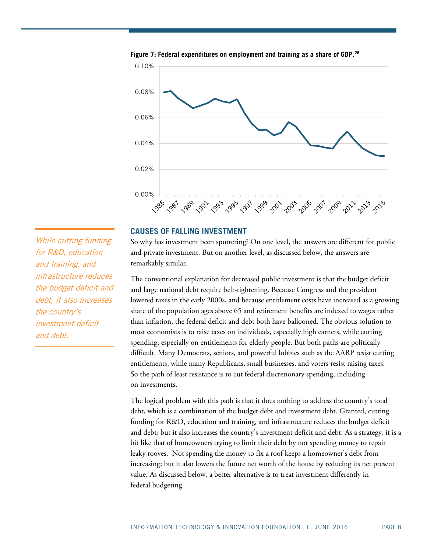

<span id="page-7-0"></span>**Figure 7: Federal expenditures on employment and training as a share of GDP. [26](#page-14-10)**

## **CAUSES OF FALLING INVESTMENT**

So why has investment been sputtering? On one level, the answers are different for public and private investment. But on another level, as discussed below, the answers are remarkably similar.

The conventional explanation for decreased public investment is that the budget deficit and large national debt require belt-tightening. Because Congress and the president lowered taxes in the early 2000s, and because entitlement costs have increased as a growing share of the population ages above 65 and retirement benefits are indexed to wages rather than inflation, the federal deficit and debt both have ballooned. The obvious solution to most economists is to raise taxes on individuals, especially high earners, while cutting spending, especially on entitlements for elderly people. But both paths are politically difficult. Many Democrats, seniors, and powerful lobbies such as the AARP resist cutting entitlements, while many Republicans, small businesses, and voters resist raising taxes. So the path of least resistance is to cut federal discretionary spending, including on investments.

The logical problem with this path is that it does nothing to address the country's total debt, which is a combination of the budget debt and investment debt. Granted, cutting funding for R&D, education and training, and infrastructure reduces the budget deficit and debt; but it also increases the country's investment deficit and debt. As a strategy, it is a bit like that of homeowners trying to limit their debt by not spending money to repair leaky rooves. Not spending the money to fix a roof keeps a homeowner's debt from increasing; but it also lowers the future net worth of the house by reducing its net present value. As discussed below, a better alternative is to treat investment differently in federal budgeting.

While cutting funding for R&D, education and training, and infrastructure reduces the budget deficit and debt, it also increases the country's investment deficit and debt.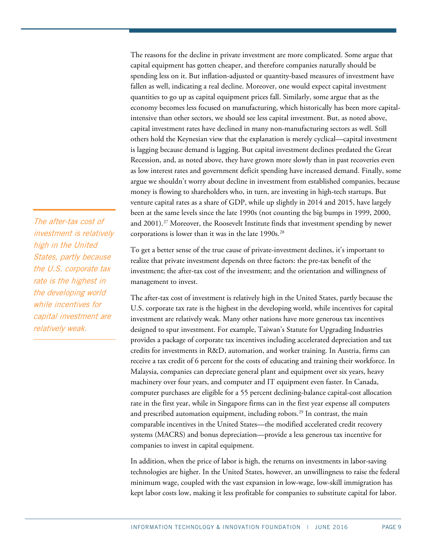The reasons for the decline in private investment are more complicated. Some argue that capital equipment has gotten cheaper, and therefore companies naturally should be spending less on it. But inflation-adjusted or quantity-based measures of investment have fallen as well, indicating a real decline. Moreover, one would expect capital investment quantities to go up as capital equipment prices fall. Similarly, some argue that as the economy becomes less focused on manufacturing, which historically has been more capitalintensive than other sectors, we should see less capital investment. But, as noted above, capital investment rates have declined in many non-manufacturing sectors as well. Still others hold the Keynesian view that the explanation is merely cyclical—capital investment is lagging because demand is lagging. But capital investment declines predated the Great Recession, and, as noted above, they have grown more slowly than in past recoveries even as low interest rates and government deficit spending have increased demand. Finally, some argue we shouldn't worry about decline in investment from established companies, because money is flowing to shareholders who, in turn, are investing in high-tech startups. But venture capital rates as a share of GDP, while up slightly in 2014 and 2015, have largely been at the same levels since the late 1990s (not counting the big bumps in 1999, 2000, and 2001).<sup>[27](#page-14-11)</sup> Moreover, the Roosevelt Institute finds that investment spending by newer corporations is lower than it was in the late 1990s.<sup>28</sup>

To get a better sense of the true cause of private-investment declines, it's important to realize that private investment depends on three factors: the pre-tax benefit of the investment; the after-tax cost of the investment; and the orientation and willingness of management to invest.

The after-tax cost of investment is relatively high in the United States, partly because the U.S. corporate tax rate is the highest in the developing world, while incentives for capital investment are relatively weak. Many other nations have more generous tax incentives designed to spur investment. For example, Taiwan's Statute for Upgrading Industries provides a package of corporate tax incentives including accelerated depreciation and tax credits for investments in R&D, automation, and worker training. In Austria, firms can receive a tax credit of 6 percent for the costs of educating and training their workforce. In Malaysia, companies can depreciate general plant and equipment over six years, heavy machinery over four years, and computer and IT equipment even faster. In Canada, computer purchases are eligible for a 55 percent declining-balance capital-cost allocation rate in the first year, while in Singapore firms can in the first year expense all computers and prescribed automation equipment, including robots.<sup>[29](#page-14-13)</sup> In contrast, the main comparable incentives in the United States—the modified accelerated credit recovery systems (MACRS) and bonus depreciation—provide a less generous tax incentive for companies to invest in capital equipment.

In addition, when the price of labor is high, the returns on investments in labor-saving technologies are higher. In the United States, however, an unwillingness to raise the federal minimum wage, coupled with the vast expansion in low-wage, low-skill immigration has kept labor costs low, making it less profitable for companies to substitute capital for labor.

The after-tax cost of investment is relatively high in the United States, partly because the U.S. corporate tax rate is the highest in the developing world while incentives for capital investment are relatively weak.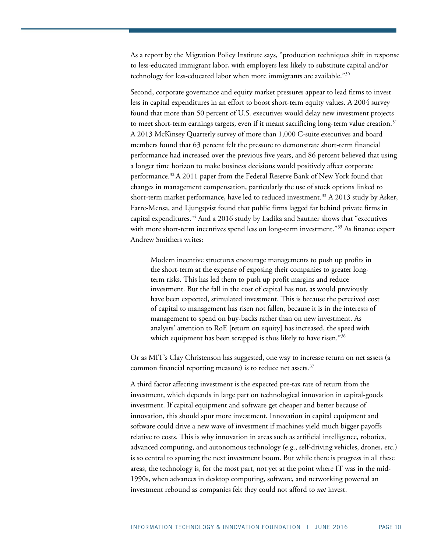As a report by the Migration Policy Institute says, "production techniques shift in response to less-educated immigrant labor, with employers less likely to substitute capital and/or technology for less-educated labor when more immigrants are available.["30](#page-14-14)

Second, corporate governance and equity market pressures appear to lead firms to invest less in capital expenditures in an effort to boost short-term equity values. A 2004 survey found that more than 50 percent of U.S. executives would delay new investment projects to meet short-term earnings targets, even if it meant sacrificing long-term value creation.<sup>[31](#page-14-15)</sup> A 2013 McKinsey Quarterly survey of more than 1,000 C-suite executives and board members found that 63 percent felt the pressure to demonstrate short-term financial performance had increased over the previous five years, and 86 percent believed that using a longer time horizon to make business decisions would positively affect corporate performance.[32](#page-15-0)A 2011 paper from the Federal Reserve Bank of New York found that changes in management compensation, particularly the use of stock options linked to short-term market performance, have led to reduced investment.<sup>[33](#page-15-1)</sup> A 2013 study by Asker, Farre-Mensa, and Ljungqvist found that public firms lagged far behind private firms in capital expenditures.<sup>[34](#page-15-2)</sup> And a 2016 study by Ladika and Sautner shows that "executives with more short-term incentives spend less on long-term investment."<sup>[35](#page-15-3)</sup> As finance expert Andrew Smithers writes:

Modern incentive structures encourage managements to push up profits in the short-term at the expense of exposing their companies to greater longterm risks. This has led them to push up profit margins and reduce investment. But the fall in the cost of capital has not, as would previously have been expected, stimulated investment. This is because the perceived cost of capital to management has risen not fallen, because it is in the interests of management to spend on buy-backs rather than on new investment. As analysts' attention to RoE [return on equity] has increased, the speed with which equipment has been scrapped is thus likely to have risen."<sup>[36](#page-15-4)</sup>

Or as MIT's Clay Christenson has suggested, one way to increase return on net assets (a common financial reporting measure) is to reduce net assets.<sup>[37](#page-15-5)</sup>

A third factor affecting investment is the expected pre-tax rate of return from the investment, which depends in large part on technological innovation in capital-goods investment. If capital equipment and software get cheaper and better because of innovation, this should spur more investment. Innovation in capital equipment and software could drive a new wave of investment if machines yield much bigger payoffs relative to costs. This is why innovation in areas such as artificial intelligence, robotics, advanced computing, and autonomous technology (e.g., self-driving vehicles, drones, etc.) is so central to spurring the next investment boom. But while there is progress in all these areas, the technology is, for the most part, not yet at the point where IT was in the mid-1990s, when advances in desktop computing, software, and networking powered an investment rebound as companies felt they could not afford to *not* invest.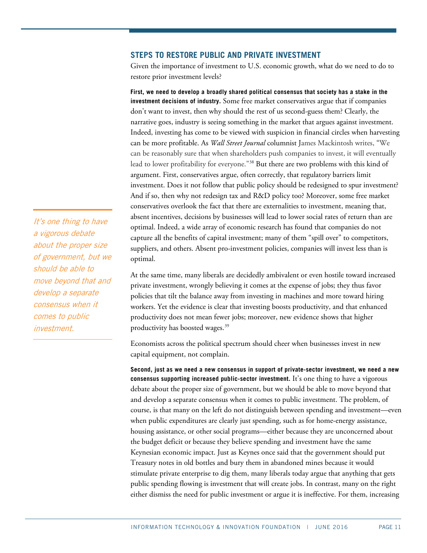#### **STEPS TO RESTORE PUBLIC AND PRIVATE INVESTMENT**

Given the importance of investment to U.S. economic growth, what do we need to do to restore prior investment levels?

**First, we need to develop a broadly shared political consensus that society has a stake in the investment decisions of industry.** Some free market conservatives argue that if companies don't want to invest, then why should the rest of us second-guess them? Clearly, the narrative goes, industry is seeing something in the market that argues against investment. Indeed, investing has come to be viewed with suspicion in financial circles when harvesting can be more profitable. As *Wall Street Journal* columnist James Mackintosh writes, "We can be reasonably sure that when shareholders push companies to invest, it will eventually lead to lower profitability for everyone."[38](#page-15-6) But there are two problems with this kind of argument. First, conservatives argue, often correctly, that regulatory barriers limit investment. Does it not follow that public policy should be redesigned to spur investment? And if so, then why not redesign tax and R&D policy too? Moreover, some free market conservatives overlook the fact that there are externalities to investment, meaning that, absent incentives, decisions by businesses will lead to lower social rates of return than are optimal. Indeed, a wide array of economic research has found that companies do not capture all the benefits of capital investment; many of them "spill over" to competitors, suppliers, and others. Absent pro-investment policies, companies will invest less than is optimal.

At the same time, many liberals are decidedly ambivalent or even hostile toward increased private investment, wrongly believing it comes at the expense of jobs; they thus favor policies that tilt the balance away from investing in machines and more toward hiring workers. Yet the evidence is clear that investing boosts productivity, and that enhanced productivity does not mean fewer jobs; moreover, new evidence shows that higher productivity has boosted wages.<sup>[39](#page-15-7)</sup>

Economists across the political spectrum should cheer when businesses invest in new capital equipment, not complain.

**Second, just as we need a new consensus in support of private-sector investment, we need a new consensus supporting increased public-sector investment.** It's one thing to have a vigorous debate about the proper size of government, but we should be able to move beyond that and develop a separate consensus when it comes to public investment. The problem, of course, is that many on the left do not distinguish between spending and investment—even when public expenditures are clearly just spending, such as for home-energy assistance, housing assistance, or other social programs—either because they are unconcerned about the budget deficit or because they believe spending and investment have the same Keynesian economic impact. Just as Keynes once said that the government should put Treasury notes in old bottles and bury them in abandoned mines because it would stimulate private enterprise to dig them, many liberals today argue that anything that gets public spending flowing is investment that will create jobs. In contrast, many on the right either dismiss the need for public investment or argue it is ineffective. For them, increasing

It's one thing to have a vigorous debate about the proper size of government, but we should be able to move beyond that and develop a separate consensus when it comes to public investment.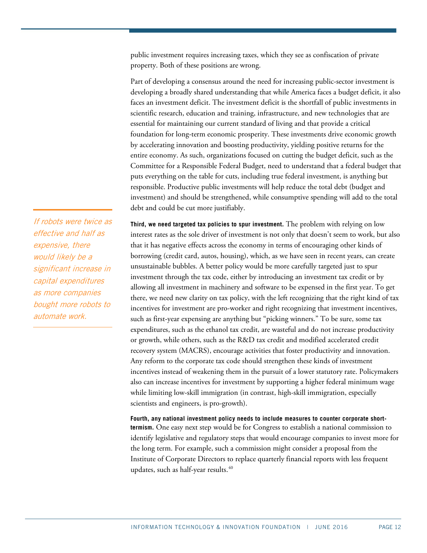public investment requires increasing taxes, which they see as confiscation of private property. Both of these positions are wrong.

Part of developing a consensus around the need for increasing public-sector investment is developing a broadly shared understanding that while America faces a budget deficit, it also faces an investment deficit. The investment deficit is the shortfall of public investments in scientific research, education and training, infrastructure, and new technologies that are essential for maintaining our current standard of living and that provide a critical foundation for long-term economic prosperity. These investments drive economic growth by accelerating innovation and boosting productivity, yielding positive returns for the entire economy. As such, organizations focused on cutting the budget deficit, such as the Committee for a Responsible Federal Budget, need to understand that a federal budget that puts everything on the table for cuts, including true federal investment, is anything but responsible. Productive public investments will help reduce the total debt (budget and investment) and should be strengthened, while consumptive spending will add to the total debt and could be cut more justifiably.

**Third, we need targeted tax policies to spur investment.** The problem with relying on low interest rates as the sole driver of investment is not only that doesn't seem to work, but also that it has negative effects across the economy in terms of encouraging other kinds of borrowing (credit card, autos, housing), which, as we have seen in recent years, can create unsustainable bubbles. A better policy would be more carefully targeted just to spur investment through the tax code, either by introducing an investment tax credit or by allowing all investment in machinery and software to be expensed in the first year. To get there, we need new clarity on tax policy, with the left recognizing that the right kind of tax incentives for investment are pro-worker and right recognizing that investment incentives, such as first-year expensing are anything but "picking winners." To be sure, some tax expenditures, such as the ethanol tax credit, are wasteful and do not increase productivity or growth, while others, such as the R&D tax credit and modified accelerated credit recovery system (MACRS), encourage activities that foster productivity and innovation. Any reform to the corporate tax code should strengthen these kinds of investment incentives instead of weakening them in the pursuit of a lower statutory rate. Policymakers also can increase incentives for investment by supporting a higher federal minimum wage while limiting low-skill immigration (in contrast, high-skill immigration, especially scientists and engineers, is pro-growth).

**Fourth, any national investment policy needs to include measures to counter corporate shorttermism.** One easy next step would be for Congress to establish a national commission to identify legislative and regulatory steps that would encourage companies to invest more for the long term. For example, such a commission might consider a proposal from the Institute of Corporate Directors to replace quarterly financial reports with less frequent updates, such as half-year results.<sup>[40](#page-15-8)</sup>

If robots were twice as effective and half as expensive, there would likely be a significant increase in capital expenditures as more companies bought more robots to automate work.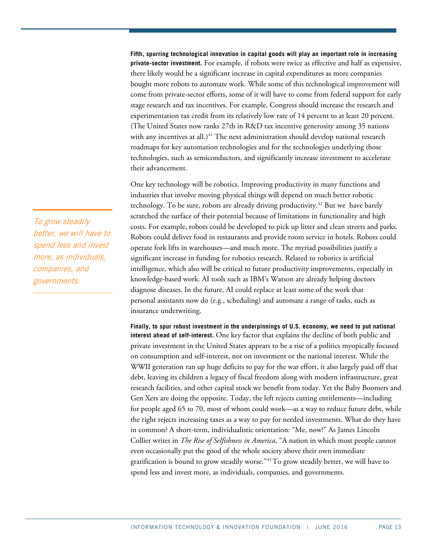**Fifth, spurring technological innovation in capital goods will play an important role in increasing private-sector investment.** For example, if robots were twice as effective and half as expensive, there likely would be a significant increase in capital expenditures as more companies bought more robots to automate work. While some of this technological improvement will come from private-sector efforts, some of it will have to come from federal support for early stage research and tax incentives. For example, Congress should increase the research and experimentation tax credit from its relatively low rate of 14 percent to at least 20 percent. (The United States now ranks 27th in R&D tax incentive generosity among 35 nations with any incentives at all.) [41](#page-15-9) The next administration should develop national research roadmaps for key automation technologies and for the technologies underlying those technologies, such as semiconductors, and significantly increase investment to accelerate their advancement.

One key technology will be robotics. Improving productivity in many functions and industries that involve moving physical things will depend on much better robotic technology. To be sure, robots are already driving productivity.<sup>[42](#page-15-10)</sup> But we have barely scratched the surface of their potential because of limitations in functionality and high costs. For example, robots could be developed to pick up litter and clean streets and parks. Robots could deliver food in restaurants and provide room service in hotels. Robots could operate fork lifts in warehouses—and much more. The myriad possibilities justify a significant increase in funding for robotics research. Related to robotics is artificial intelligence, which also will be critical to future productivity improvements, especially in knowledge-based work. AI tools such as IBM's Watson are already helping doctors diagnose diseases. In the future, AI could replace at least some of the work that personal assistants now do (e.g., scheduling) and automate a range of tasks, such as insurance underwriting.

**Finally, to spur robust investment in the underpinnings of U.S. economy, we need to put national interest ahead of self-interest.** One key factor that explains the decline of both public and private investment in the United States appears to be a rise of a politics myopically focused on consumption and self-interest, not on investment or the national interest. While the WWII generation ran up huge deficits to pay for the war effort, it also largely paid off that debt, leaving its children a legacy of fiscal freedom along with modern infrastructure, great research facilities, and other capital stock we benefit from today. Yet the Baby Boomers and Gen Xers are doing the opposite. Today, the left rejects cutting entitlements—including for people aged 65 to 70, most of whom could work—as a way to reduce future debt, while the right rejects increasing taxes as a way to pay for needed investments. What do they have in common? A short-term, individualistic orientation: "Me, now!" As James Lincoln Collier writes in *The Rise of Selfishness in America*, "A nation in which most people cannot even occasionally put the good of the whole society above their own immediate gratification is bound to grow steadily worse." $43$  To grow steadily better, we will have to spend less and invest more, as individuals, companies, and governments.

To grow steadily better, we will have to spend less and invest more, as individuals, companies, and governments.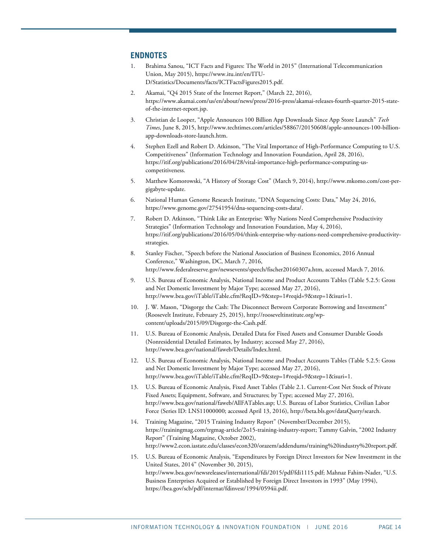#### <span id="page-13-0"></span>**ENDNOTES**

- 1. Brahima Sanou, "ICT Facts and Figures: The World in 2015" (International Telecommunication Union, May 2015)[, https://www.itu.int/en/ITU-](https://www.itu.int/en/ITU-D/Statistics/Documents/facts/ICTFactsFigures2015.pdf)[D/Statistics/Documents/facts/ICTFactsFigures2015.pdf.](https://www.itu.int/en/ITU-D/Statistics/Documents/facts/ICTFactsFigures2015.pdf)
- <span id="page-13-1"></span>2. Akamai, "Q4 2015 State of the Internet Report," (March 22, 2016), [https://www.akamai.com/us/en/about/news/press/2016-press/akamai-releases-fourth-quarter-2015-state](https://www.akamai.com/us/en/about/news/press/2016-press/akamai-releases-fourth-quarter-2015-state-of-the-internet-report.jsp)[of-the-internet-report.jsp.](https://www.akamai.com/us/en/about/news/press/2016-press/akamai-releases-fourth-quarter-2015-state-of-the-internet-report.jsp)
- <span id="page-13-2"></span>3. Christian de Looper, "Apple Announces 100 Billion App Downloads Since App Store Launch" *Tech Times*, June 8, 2015[, http://www.techtimes.com/articles/58867/20150608/apple-announces-100-billion](http://www.techtimes.com/articles/58867/20150608/apple-announces-100-billion-app-downloads-store-launch.htm)[app-downloads-store-launch.htm.](http://www.techtimes.com/articles/58867/20150608/apple-announces-100-billion-app-downloads-store-launch.htm)
- <span id="page-13-3"></span>4. Stephen Ezell and Robert D. Atkinson, "The Vital Importance of High-Performance Computing to U.S. Competitiveness" (Information Technology and Innovation Foundation, April 28, 2016), [https://itif.org/publications/2016/04/28/vital-importance-high-performance-computing-us](https://itif.org/publications/2016/04/28/vital-importance-high-performance-computing-us-competitiveness)[competitiveness.](https://itif.org/publications/2016/04/28/vital-importance-high-performance-computing-us-competitiveness)
- <span id="page-13-4"></span>5. Matthew Komorowski, "A History of Storage Cost" (March 9, 2014), [http://www.mkomo.com/cost-per](http://www.mkomo.com/cost-per-gigabyte-update)[gigabyte-update.](http://www.mkomo.com/cost-per-gigabyte-update)
- <span id="page-13-5"></span>6. National Human Genome Research Institute, "DNA Sequencing Costs: Data," May 24, 2016, [https://www.genome.gov/27541954/dna-sequencing-costs-data/.](https://www.genome.gov/27541954/dna-sequencing-costs-data/)
- <span id="page-13-6"></span>7. Robert D. Atkinson, "Think Like an Enterprise: Why Nations Need Comprehensive Productivity Strategies" (Information Technology and Innovation Foundation, May 4, 2016), [https://itif.org/publications/2016/05/04/think-enterprise-why-nations-need-comprehensive-productivity](https://itif.org/publications/2016/05/04/think-enterprise-why-nations-need-comprehensive-productivity-strategies)[strategies.](https://itif.org/publications/2016/05/04/think-enterprise-why-nations-need-comprehensive-productivity-strategies)
- <span id="page-13-7"></span>8. Stanley Fischer, "Speech before the National Association of Business Economics, 2016 Annual Conference," Washington, DC, March 7, 2016, [http://www.federalreserve.gov/newsevents/speech/fischer20160307a.htm,](http://www.federalreserve.gov/newsevents/speech/fischer20160307a.htm) accessed March 7, 2016.
- <span id="page-13-8"></span>9. U.S. Bureau of Economic Analysis, National Income and Product Accounts Tables (Table 5.2.5: Gross and Net Domestic Investment by Major Type; accessed May 27, 2016), [http://www.bea.gov/iTable/iTable.cfm?ReqID=9&step=1#reqid=9&step=1&isuri=1.](http://www.bea.gov/iTable/iTable.cfm?ReqID=9&step=1#reqid=9&step=1&isuri=1)
- <span id="page-13-9"></span>10. J. W. Mason, "Disgorge the Cash: The Disconnect Between Corporate Borrowing and Investment" (Roosevelt Institute, February 25, 2015)[, http://rooseveltinstitute.org/wp](http://rooseveltinstitute.org/wp-content/uploads/2015/09/Disgorge-the-Cash.pdf)[content/uploads/2015/09/Disgorge-the-Cash.pdf.](http://rooseveltinstitute.org/wp-content/uploads/2015/09/Disgorge-the-Cash.pdf)
- <span id="page-13-10"></span>11. U.S. Bureau of Economic Analysis, Detailed Data for Fixed Assets and Consumer Durable Goods (Nonresidential Detailed Estimates, by Industry; accessed May 27, 2016), [http://www.bea.gov/national/faweb/Details/Index.html.](http://www.bea.gov/national/faweb/Details/Index.html)
- <span id="page-13-11"></span>12. U.S. Bureau of Economic Analysis, National Income and Product Accounts Tables (Table 5.2.5: Gross and Net Domestic Investment by Major Type; accessed May 27, 2016), [http://www.bea.gov/iTable/iTable.cfm?ReqID=9&step=1#reqid=9&step=1&isuri=1.](http://www.bea.gov/iTable/iTable.cfm?ReqID=9&step=1#reqid=9&step=1&isuri=1)
- <span id="page-13-12"></span>13. U.S. Bureau of Economic Analysis, Fixed Asset Tables (Table 2.1. Current-Cost Net Stock of Private Fixed Assets; Equipment, Software, and Structures; by Type; accessed May 27, 2016), [http://www.bea.gov/national/faweb/AllFATables.asp;](http://www.bea.gov/national/faweb/AllFATables.asp) U.S. Bureau of Labor Statistics, Civilian Labor Force (Series ID: LNS11000000; accessed April 13, 2016), [http://beta.bls.gov/dataQuery/search.](http://beta.bls.gov/dataQuery/search)
- <span id="page-13-13"></span>14. Training Magazine, "2015 Training Industry Report" (November/December 2015), https://trainingmag.com/trgmag-article/2o15-training-industry-report; Tammy Galvin, "2002 Industry Report" (Training Magazine, October 2002), [http://www2.econ.iastate.edu/classes/econ320/orazem/addendums/training%20industry%20report.pdf.](http://www2.econ.iastate.edu/classes/econ320/orazem/addendums/training%20industry%20report.pdf)
- <span id="page-13-14"></span>15. U.S. Bureau of Economic Analysis, "Expenditures by Foreign Direct Investors for New Investment in the United States, 2014" (November 30, 2015), [http://www.bea.gov/newsreleases/international/fdi/2015/pdf/fdi1115.pdf;](http://www.bea.gov/newsreleases/international/fdi/2015/pdf/fdi1115.pdf) Mahnaz Fahim-Nader, "U.S. Business Enterprises Acquired or Established by Foreign Direct Investors in 1993" (May 1994), [https://bea.gov/scb/pdf/internat/fdinvest/1994/0594ii.pdf.](https://bea.gov/scb/pdf/internat/fdinvest/1994/0594ii.pdf)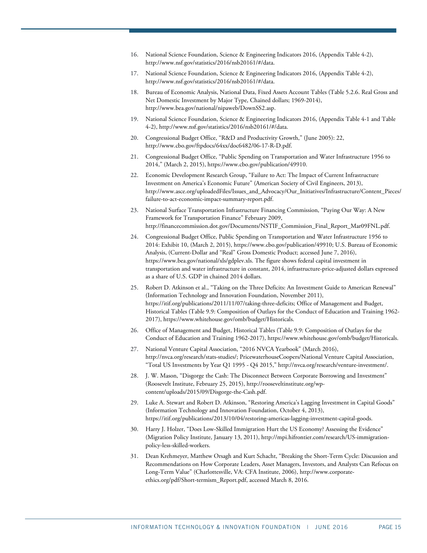- <span id="page-14-0"></span>16. National Science Foundation, Science & Engineering Indicators 2016, (Appendix Table 4-2), [http://www.nsf.gov/statistics/2016/nsb20161/#/data.](http://www.nsf.gov/statistics/2016/nsb20161/#/data)
- <span id="page-14-1"></span>17. National Science Foundation, Science & Engineering Indicators 2016, (Appendix Table 4-2), [http://www.nsf.gov/statistics/2016/nsb20161/#/data.](http://www.nsf.gov/statistics/2016/nsb20161/#/data)
- <span id="page-14-2"></span>18. Bureau of Economic Analysis, National Data, Fixed Assets Account Tables (Table 5.2.6. Real Gross and Net Domestic Investment by Major Type, Chained dollars; 1969-2014), http://www.bea.gov/national/nipaweb/DownSS2.asp.
- <span id="page-14-3"></span>19. National Science Foundation, Science & Engineering Indicators 2016, (Appendix Table 4-1 and Table 4-2), [http://www.nsf.gov/statistics/2016/nsb20161/#/data.](http://www.nsf.gov/statistics/2016/nsb20161/#/data)
- <span id="page-14-4"></span>20. Congressional Budget Office, "R&D and Productivity Growth," (June 2005): 22, http://www.cbo.gov/ftpdocs/64xx/doc6482/06-17-R-D.pdf.
- <span id="page-14-5"></span>21. Congressional Budget Office, "Public Spending on Transportation and Water Infrastructure 1956 to 2014," (March 2, 2015), https://www.cbo.gov/publication/49910.
- <span id="page-14-6"></span>22. Economic Development Research Group, "Failure to Act: The Impact of Current Infrastructure Investment on America's Economic Future" (American Society of Civil Engineers, 2013), [http://www.asce.org/uploadedFiles/Issues\\_and\\_Advocacy/Our\\_Initiatives/Infrastructure/Content\\_Pieces/](http://www.asce.org/uploadedFiles/Issues_and_Advocacy/Our_Initiatives/Infrastructure/Content_Pieces/failure-to-act-economic-impact-summary-report.pdf) [failure-to-act-economic-impact-summary-report.pdf.](http://www.asce.org/uploadedFiles/Issues_and_Advocacy/Our_Initiatives/Infrastructure/Content_Pieces/failure-to-act-economic-impact-summary-report.pdf)
- <span id="page-14-7"></span>23. National Surface Transportation Infrastructure Financing Commission, "Paying Our Way: A New Framework for Transportation Finance" February 2009, [http://financecommission.dot.gov/Documents/NSTIF\\_Commission\\_Final\\_Report\\_Mar09FNL.pdf.](http://financecommission.dot.gov/Documents/NSTIF_Commission_Final_Report_Mar09FNL.pdf)
- <span id="page-14-8"></span>24. Congressional Budget Office, Public Spending on Transportation and Water Infrastructure 1956 to 2014: Exhibit 10, (March 2, 2015)[, https://www.cbo.gov/publication/49910;](https://www.cbo.gov/publication/49910) U.S. Bureau of Economic Analysis, (Current-Dollar and "Real" Gross Domestic Product; accessed June 7, 2016), [https://www.bea.gov/national/xls/gdplev.xls.](https://www.bea.gov/national/xls/gdplev.xls) The figure shows federal capital investment in transportation and water infrastructure in constant, 2014, infrastructure-price-adjusted dollars expressed as a share of U.S. GDP in chained 2014 dollars.
- <span id="page-14-9"></span>25. Robert D. Atkinson et al., "Taking on the Three Deficits: An Investment Guide to American Renewal" (Information Technology and Innovation Foundation, November 2011), [https://itif.org/publications/2011/11/07/taking-three-deficits;](https://itif.org/publications/2011/11/07/taking-three-deficits) Office of Management and Budget, Historical Tables (Table 9.9: Composition of Outlays for the Conduct of Education and Training 1962- 2017)[, https://www.whitehouse.gov/omb/budget/Historicals.](https://www.whitehouse.gov/omb/budget/Historicals)
- <span id="page-14-10"></span>26. Office of Management and Budget, Historical Tables (Table 9.9: Composition of Outlays for the Conduct of Education and Training 1962-2017)[, https://www.whitehouse.gov/omb/budget/Historicals.](https://www.whitehouse.gov/omb/budget/Historicals)
- <span id="page-14-11"></span>27. National Venture Capital Association, "2016 NVCA Yearbook" (March 2016), [http://nvca.org/research/stats-studies/;](http://nvca.org/research/stats-studies/) PricewaterhouseCoopers/National Venture Capital Association, "Total US Investments by Year Q1 1995 - Q4 2015," [http://nvca.org/research/venture-investment/.](http://nvca.org/research/venture-investment/)
- <span id="page-14-12"></span>28. J. W. Mason, "Disgorge the Cash: The Disconnect Between Corporate Borrowing and Investment" (Roosevelt Institute, February 25, 2015)[, http://rooseveltinstitute.org/wp](http://rooseveltinstitute.org/wp-content/uploads/2015/09/Disgorge-the-Cash.pdf)[content/uploads/2015/09/Disgorge-the-Cash.pdf.](http://rooseveltinstitute.org/wp-content/uploads/2015/09/Disgorge-the-Cash.pdf)
- <span id="page-14-13"></span>29. Luke A. Stewart and Robert D. Atkinson, "Restoring America's Lagging Investment in Capital Goods" (Information Technology and Innovation Foundation, October 4, 2013), [https://itif.org/publications/2013/10/04/restoring-americas-lagging-investment-capital-goods.](https://itif.org/publications/2013/10/04/restoring-americas-lagging-investment-capital-goods)
- <span id="page-14-14"></span>30. Harry J. Holzer, "Does Low-Skilled Immigration Hurt the US Economy? Assessing the Evidence" (Migration Policy Institute, January 13, 2011)[, http://mpi.hifrontier.com/research/US-immigration](http://mpi.hifrontier.com/research/US-immigration-policy-less-skilled-workers)[policy-less-skilled-workers.](http://mpi.hifrontier.com/research/US-immigration-policy-less-skilled-workers)
- <span id="page-14-15"></span>31. Dean Krehmeyer, Matthew Orsagh and Kurt Schacht, "Breaking the Short-Term Cycle: Discussion and Recommendations on How Corporate Leaders, Asset Managers, Investors, and Analysts Can Refocus on Long-Term Value" (Charlottesville, VA: CFA Institute, 2006), [http://www.corporate](http://www.corporate-ethics.org/pdf/Short-termism_Report.pdf)[ethics.org/pdf/Short-termism\\_Report.pdf,](http://www.corporate-ethics.org/pdf/Short-termism_Report.pdf) accessed March 8, 2016.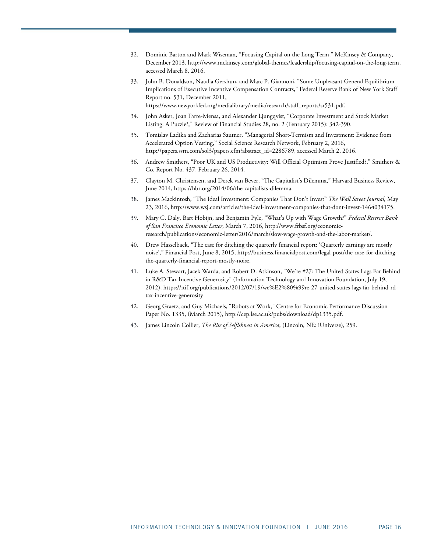- <span id="page-15-0"></span>32. Dominic Barton and Mark Wiseman, "Focusing Capital on the Long Term," McKinsey & Company, December 2013[, http://www.mckinsey.com/global-themes/leadership/focusing-capital-on-the-long-term,](http://www.mckinsey.com/global-themes/leadership/focusing-capital-on-the-long-term)  accessed March 8, 2016.
- <span id="page-15-1"></span>33. John B. Donaldson, Natalia Gershun, and Marc P. Giannoni, "Some Unpleasant General Equilibrium Implications of Executive Incentive Compensation Contracts," Federal Reserve Bank of New York Staff Report no. 531, December 2011, [https://www.newyorkfed.org/medialibrary/media/research/staff\\_reports/sr531.pdf.](https://www.newyorkfed.org/medialibrary/media/research/staff_reports/sr531.pdf)
- <span id="page-15-2"></span>34. John Asker, Joan Farre-Mensa, and Alexander Ljungqvist, "Corporate Investment and Stock Market Listing: A Puzzle?," Review of Financial Studies 28, no. 2 (Fenruary 2015): 342-390.
- <span id="page-15-3"></span>35. Tomislav Ladika and Zacharias Sautner, "Managerial Short-Termism and Investment: Evidence from Accelerated Option Vesting," Social Science Research Network, February 2, 2016, [http://papers.ssrn.com/sol3/papers.cfm?abstract\\_id=2286789,](http://papers.ssrn.com/sol3/papers.cfm?abstract_id=2286789) accessed March 2, 2016.
- <span id="page-15-4"></span>36. Andrew Smithers, "Poor UK and US Productivity: Will Official Optimism Prove Justified?," Smithers & Co. Report No. 437, February 26, 2014.
- <span id="page-15-5"></span>37. Clayton M. Christensen, and Derek van Bever, "The Capitalist's Dilemma," Harvard Business Review, June 2014[, https://hbr.org/2014/06/the-capitalists-dilemma.](https://hbr.org/2014/06/the-capitalists-dilemma)
- <span id="page-15-6"></span>38. James Mackintosh, "The Ideal Investment: Companies That Don't Invest" *The Wall Street Journal*, May 23, 2016, [http://www.wsj.com/articles/the-ideal-investment-companies-that-dont-invest-1464034175.](http://www.wsj.com/articles/the-ideal-investment-companies-that-dont-invest-1464034175)
- <span id="page-15-7"></span>39. Mary C. Daly, Bart Hobijn, and Benjamin Pyle, "What's Up with Wage Growth?" *Federal Reserve Bank of San Francisco Economic Letter*, March 7, 2016, [http://www.frbsf.org/economic](http://www.frbsf.org/economic-research/publications/economic-letter/2016/march/slow-wage-growth-and-the-labor-market/)[research/publications/economic-letter/2016/march/slow-wage-growth-and-the-labor-market/.](http://www.frbsf.org/economic-research/publications/economic-letter/2016/march/slow-wage-growth-and-the-labor-market/)
- <span id="page-15-8"></span>40. Drew Hasselback, "The case for ditching the quarterly financial report: 'Quarterly earnings are mostly noise'," Financial Post, June 8, 2015[, http://business.financialpost.com/legal-post/the-case-for-ditching](http://business.financialpost.com/legal-post/the-case-for-ditching-the-quarterly-financial-report-mostly-noise)[the-quarterly-financial-report-mostly-noise.](http://business.financialpost.com/legal-post/the-case-for-ditching-the-quarterly-financial-report-mostly-noise)
- <span id="page-15-9"></span>41. Luke A. Stewart, Jacek Warda, and Robert D. Atkinson, "We're #27: The United States Lags Far Behind in R&D Tax Incentive Generosity" (Information Technology and Innovation Foundation, July 19, 2012)[, https://itif.org/publications/2012/07/19/we%E2%80%99re-27-united-states-lags-far-behind-rd](https://itif.org/publications/2012/07/19/we%E2%80%99re-27-united-states-lags-far-behind-rd-tax-incentive-generosity)[tax-incentive-generosity](https://itif.org/publications/2012/07/19/we%E2%80%99re-27-united-states-lags-far-behind-rd-tax-incentive-generosity)
- <span id="page-15-10"></span>42. Georg Graetz, and Guy Michaels, "Robots at Work," Centre for Economic Performance Discussion Paper No. 1335, (March 2015)[, http://cep.lse.ac.uk/pubs/download/dp1335.pdf.](http://cep.lse.ac.uk/pubs/download/dp1335.pdf)
- <span id="page-15-11"></span>43. James Lincoln Collier, *The Rise of Selfishness in America*, (Lincoln, NE: iUniverse), 259.